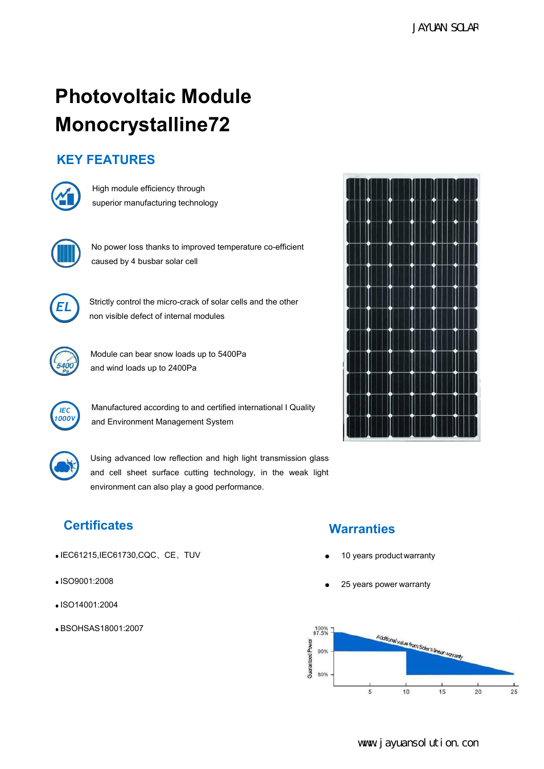# **Photovoltaic Module<br>
Monocrystalline72**<br>
KEY FEATURES<br> **EXPLUANCES**<br>
High module efficiency through<br>
superior manufacturing technology **Monocrystalline72 Photovoltaic Module<br>Monocrystalline72**<br>KEY FEATURES<br>**KEY** FEATURES **tovoltaic Module<br>Nacrystalline72**<br>High module efficiency through<br>superior manufacturing technology **tovoltaic Module<br>
Nocrystalline72**<br>
Superior manufacturing technology<br>
Nu prove has the intermedian conditions<br>
Nu prove has the intermedian conditions<br>
and the intermedian conditions<br>
and the intermedian conditions<br>
and





**EATURES**<br>
High module efficiency through<br>
superior manufacturing technology<br>
No power loss thanks to improved temperature co-efficient<br>
caused by 4 busbar solar cell<br>
Strictly control the micro-crack of solar cells and th superior manufacturing technology<br>
No power loss thanks to improved temperature co-efficient<br>
caused by 4 busbar solar cell<br>
Strictly control the micro-crack of solar cells and the other<br>
non visible defect of internal mod No power loss thanks to improved temperature co-efficient<br>caused by 4 busbar solar cell<br>Strictly control the micro-crack of solar cells and the other<br>non visible defect of internal modules<br>Module can bear snow loads up to



No power loss thanks to improved temperature co-entic<br>caused by 4 busbar solar cell<br>Strictly control the micro-crack of solar cells and the oth<br>non visible defect of internal modules<br>Module can bear snow loads up to 5400Pa Strictly control the micro-crack of solar cells and the other<br>non visible defect of internal modules





Strictly control the micro-crack of solar cells and the other<br>
non visible defect of internal modules<br>
Module can bear snow loads up to 5400Pa<br>
and wind loads up to 2400Pa<br>
Manufactured according to and certified internati *IEC* Manufactured according to and certified international I Quality<br>1000Y<br>**Analyzing Caustic Manufacture** Curtain and Environment Management System



and wind loads up to 2400Pa<br>
Manufactured according to and certified international I Quality<br>
and Environment Management System<br>
Using advanced low reflection and high light transmission glass<br>
and cell sheet surface cutti

- IEC61215,IEC61730,CQC、CE、TUV
- ISO9001:2008
- ISO14001:2004
- BSOHSAS18001:2007



# **Certificates Warranties**

- 
-